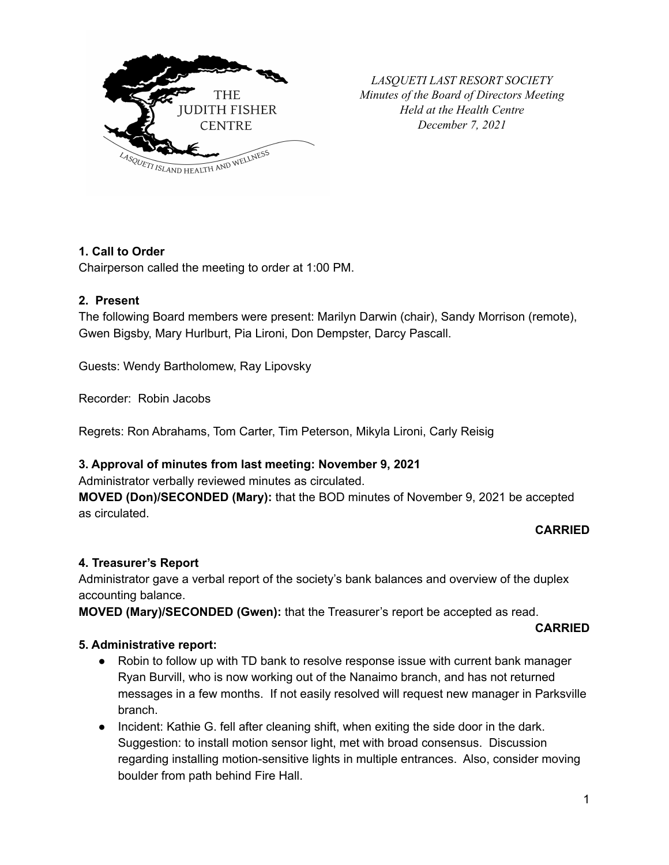

*LASQUETI LAST RESORT SOCIETY Minutes of the Board of Directors Meeting Held at the Health Centre December 7, 2021*

# **1. Call to Order**

Chairperson called the meeting to order at 1:00 PM.

#### **2. Present**

The following Board members were present: Marilyn Darwin (chair), Sandy Morrison (remote), Gwen Bigsby, Mary Hurlburt, Pia Lironi, Don Dempster, Darcy Pascall.

Guests: Wendy Bartholomew, Ray Lipovsky

Recorder: Robin Jacobs

Regrets: Ron Abrahams, Tom Carter, Tim Peterson, Mikyla Lironi, Carly Reisig

### **3. Approval of minutes from last meeting: November 9, 2021**

Administrator verbally reviewed minutes as circulated.

**MOVED (Don)/SECONDED (Mary):** that the BOD minutes of November 9, 2021 be accepted as circulated.

### **CARRIED**

### **4. Treasurer's Report**

Administrator gave a verbal report of the society's bank balances and overview of the duplex accounting balance.

**MOVED (Mary)/SECONDED (Gwen):** that the Treasurer's report be accepted as read.

#### **CARRIED**

#### **5. Administrative report:**

- Robin to follow up with TD bank to resolve response issue with current bank manager Ryan Burvill, who is now working out of the Nanaimo branch, and has not returned messages in a few months. If not easily resolved will request new manager in Parksville branch.
- Incident: Kathie G. fell after cleaning shift, when exiting the side door in the dark. Suggestion: to install motion sensor light, met with broad consensus. Discussion regarding installing motion-sensitive lights in multiple entrances. Also, consider moving boulder from path behind Fire Hall.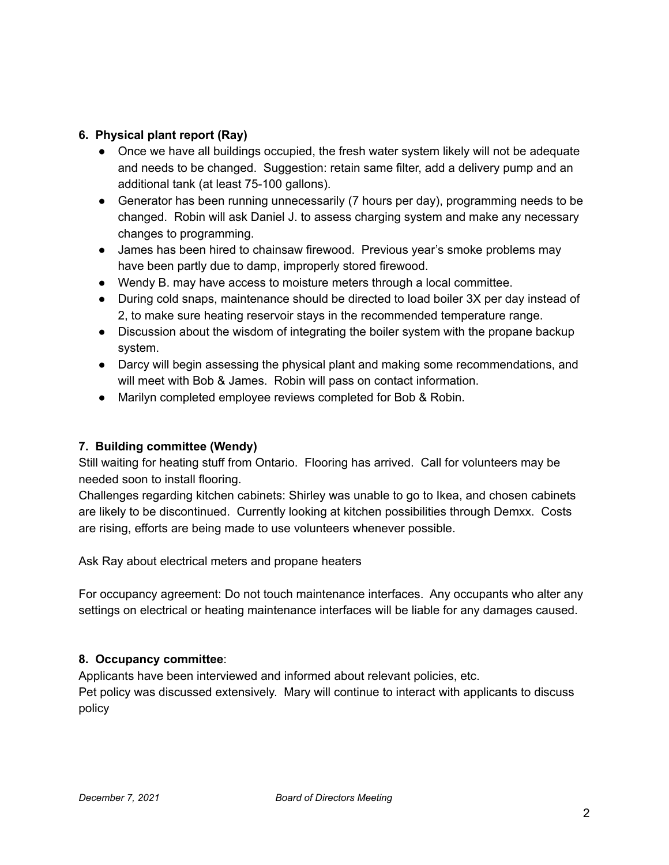## **6. Physical plant report (Ray)**

- Once we have all buildings occupied, the fresh water system likely will not be adequate and needs to be changed. Suggestion: retain same filter, add a delivery pump and an additional tank (at least 75-100 gallons).
- Generator has been running unnecessarily (7 hours per day), programming needs to be changed. Robin will ask Daniel J. to assess charging system and make any necessary changes to programming.
- James has been hired to chainsaw firewood. Previous year's smoke problems may have been partly due to damp, improperly stored firewood.
- Wendy B. may have access to moisture meters through a local committee.
- During cold snaps, maintenance should be directed to load boiler 3X per day instead of 2, to make sure heating reservoir stays in the recommended temperature range.
- Discussion about the wisdom of integrating the boiler system with the propane backup system.
- Darcy will begin assessing the physical plant and making some recommendations, and will meet with Bob & James. Robin will pass on contact information.
- Marilyn completed employee reviews completed for Bob & Robin.

### **7. Building committee (Wendy)**

Still waiting for heating stuff from Ontario. Flooring has arrived. Call for volunteers may be needed soon to install flooring.

Challenges regarding kitchen cabinets: Shirley was unable to go to Ikea, and chosen cabinets are likely to be discontinued. Currently looking at kitchen possibilities through Demxx. Costs are rising, efforts are being made to use volunteers whenever possible.

Ask Ray about electrical meters and propane heaters

For occupancy agreement: Do not touch maintenance interfaces. Any occupants who alter any settings on electrical or heating maintenance interfaces will be liable for any damages caused.

### **8. Occupancy committee**:

Applicants have been interviewed and informed about relevant policies, etc.

Pet policy was discussed extensively. Mary will continue to interact with applicants to discuss policy